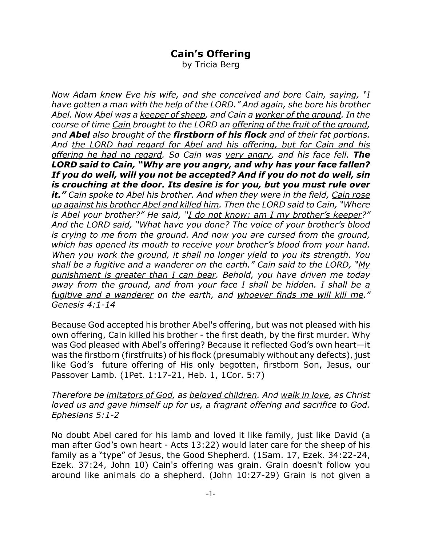## **Cain's Offering**

by Tricia Berg

*Now Adam knew Eve his wife, and she conceived and bore Cain, saying, "I have gotten a man with the help of the LORD." And again, she bore his brother Abel. Now Abel was a keeper of sheep, and Cain a worker of the ground. In the course of time Cain brought to the LORD an offering of the fruit of the ground, and Abel also brought of the firstborn of his flock and of their fat portions. And the LORD had regard for Abel and his offering, but for Cain and his offering he had no regard. So Cain was very angry, and his face fell. The LORD said to Cain, "Why are you angry, and why has your face fallen? If you do well, will you not be accepted? And if you do not do well, sin is crouching at the door. Its desire is for you, but you must rule over it." Cain spoke to Abel his brother. And when they were in the field, Cain rose up against his brother Abel and killed him. Then the LORD said to Cain, "Where is Abel your brother?" He said, "I do not know; am I my brother's keeper?" And the LORD said, "What have you done? The voice of your brother's blood is crying to me from the ground. And now you are cursed from the ground, which has opened its mouth to receive your brother's blood from your hand. When you work the ground, it shall no longer yield to you its strength. You shall be a fugitive and a wanderer on the earth." Cain said to the LORD, "My punishment is greater than I can bear. Behold, you have driven me today away from the ground, and from your face I shall be hidden. I shall be a fugitive and a wanderer on the earth, and whoever finds me will kill me." Genesis 4:1-14*

Because God accepted his brother Abel's offering, but was not pleased with his own offering, Cain killed his brother - the first death, by the first murder. Why was God pleased with Abel's offering? Because it reflected God's own heart—it was the firstborn (firstfruits) of his flock (presumably without any defects), just like God's future offering of His only begotten, firstborn Son, Jesus, our Passover Lamb. (1Pet. 1:17-21, Heb. 1, 1Cor. 5:7)

*Therefore be imitators of God, as beloved children. And walk in love, as Christ loved us and gave himself up for us, a fragrant offering and sacrifice to God. Ephesians 5:1-2*

No doubt Abel cared for his lamb and loved it like family, just like David (a man after God's own heart - Acts 13:22) would later care for the sheep of his family as a "type" of Jesus, the Good Shepherd. (1Sam. 17, Ezek. 34:22-24, Ezek. 37:24, John 10) Cain's offering was grain. Grain doesn't follow you around like animals do a shepherd. (John 10:27-29) Grain is not given a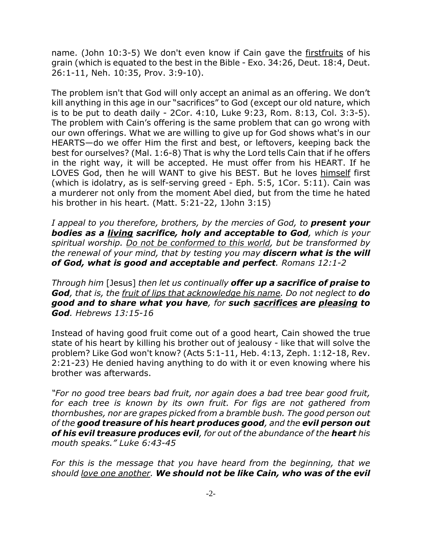name. (John 10:3-5) We don't even know if Cain gave the firstfruits of his grain (which is equated to the best in the Bible - Exo. 34:26, Deut. 18:4, Deut. 26:1-11, Neh. 10:35, Prov. 3:9-10).

The problem isn't that God will only accept an animal as an offering. We don't kill anything in this age in our "sacrifices" to God (except our old nature, which is to be put to death daily - 2Cor. 4:10, Luke 9:23, Rom. 8:13, Col. 3:3-5). The problem with Cain's offering is the same problem that can go wrong with our own offerings. What we are willing to give up for God shows what's in our HEARTS—do we offer Him the first and best, or leftovers, keeping back the best for ourselves? (Mal. 1:6-8) That is why the Lord tells Cain that if he offers in the right way, it will be accepted. He must offer from his HEART. If he LOVES God, then he will WANT to give his BEST. But he loves himself first (which is idolatry, as is self-serving greed - Eph. 5:5, 1Cor. 5:11). Cain was a murderer not only from the moment Abel died, but from the time he hated his brother in his heart. (Matt. 5:21-22, 1John 3:15)

*I appeal to you therefore, brothers, by the mercies of God, to present your bodies as a living sacrifice, holy and acceptable to God, which is your spiritual worship. Do not be conformed to this world, but be transformed by the renewal of your mind, that by testing you may discern what is the will of God, what is good and acceptable and perfect. Romans 12:1-2*

*Through him* [Jesus] *then let us continually offer up a sacrifice of praise to* God, that is, the fruit of lips that acknowledge his name. Do not neglect to do *good and to share what you have, for such sacrifices are pleasing to God. Hebrews 13:15-16*

Instead of having good fruit come out of a good heart, Cain showed the true state of his heart by killing his brother out of jealousy - like that will solve the problem? Like God won't know? (Acts 5:1-11, Heb. 4:13, Zeph. 1:12-18, Rev. 2:21-23) He denied having anything to do with it or even knowing where his brother was afterwards.

*"For no good tree bears bad fruit, nor again does a bad tree bear good fruit, for each tree is known by its own fruit. For figs are not gathered from thornbushes, nor are grapes picked from a bramble bush. The good person out of the good treasure of his heart produces good, and the evil person out of his evil treasure produces evil, for out of the abundance of the heart his mouth speaks." Luke 6:43-45*

*For this is the message that you have heard from the beginning, that we should love one another. We should not be like Cain, who was of the evil*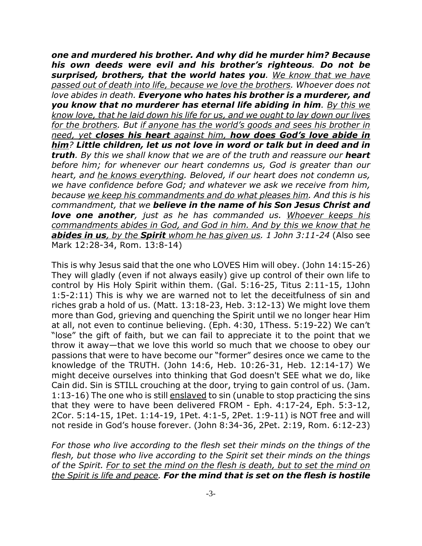*one and murdered his brother. And why did he murder him? Because his own deeds were evil and his brother's righteous. Do not be surprised, brothers, that the world hates you. We know that we have passed out of death into life, because we love the brothers. Whoever does not love abides in death. Everyone who hates his brother is a murderer, and you know that no murderer has eternal life abiding in him. By this we know love, that he laid down his life for us, and we ought to lay down our lives for the brothers. But if anyone has the world's goods and sees his brother in need, yet closes his heart against him, how does God's love abide in him? Little children, let us not love in word or talk but in deed and in truth. By this we shall know that we are of the truth and reassure our heart before him; for whenever our heart condemns us, God is greater than our heart, and he knows everything. Beloved, if our heart does not condemn us, we have confidence before God; and whatever we ask we receive from him, because we keep his commandments and do what pleases him. And this is his commandment, that we believe in the name of his Son Jesus Christ and love one another, just as he has commanded us. Whoever keeps his commandments abides in God, and God in him. And by this we know that he abides in us, by the Spirit whom he has given us. 1 John 3:11-24* (Also see Mark 12:28-34, Rom. 13:8-14)

This is why Jesus said that the one who LOVES Him will obey. (John 14:15-26) They will gladly (even if not always easily) give up control of their own life to control by His Holy Spirit within them. (Gal. 5:16-25, Titus 2:11-15, 1John 1:5-2:11) This is why we are warned not to let the deceitfulness of sin and riches grab a hold of us. (Matt. 13:18-23, Heb. 3:12-13) We might love them more than God, grieving and quenching the Spirit until we no longer hear Him at all, not even to continue believing. (Eph. 4:30, 1Thess. 5:19-22) We can't "lose" the gift of faith, but we can fail to appreciate it to the point that we throw it away—that we love this world so much that we choose to obey our passions that were to have become our "former" desires once we came to the knowledge of the TRUTH. (John 14:6, Heb. 10:26-31, Heb. 12:14-17) We might deceive ourselves into thinking that God doesn't SEE what we do, like Cain did. Sin is STILL crouching at the door, trying to gain control of us. (Jam. 1:13-16) The one who is still enslaved to sin (unable to stop practicing the sins that they were to have been delivered FROM - Eph. 4:17-24, Eph. 5:3-12, 2Cor. 5:14-15, 1Pet. 1:14-19, 1Pet. 4:1-5, 2Pet. 1:9-11) is NOT free and will not reside in God's house forever. (John 8:34-36, 2Pet. 2:19, Rom. 6:12-23)

*For those who live according to the flesh set their minds on the things of the flesh, but those who live according to the Spirit set their minds on the things of the Spirit. For to set the mind on the flesh is death, but to set the mind on the Spirit is life and peace. For the mind that is set on the flesh is hostile*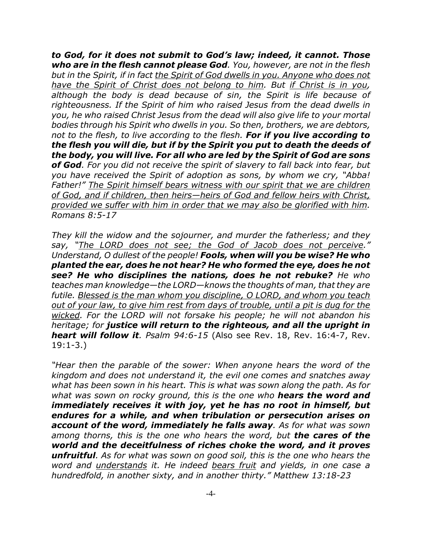*to God, for it does not submit to God's law; indeed, it cannot. Those who are in the flesh cannot please God. You, however, are not in the flesh but in the Spirit, if in fact the Spirit of God dwells in you. Anyone who does not have the Spirit of Christ does not belong to him. But if Christ is in you, although the body is dead because of sin, the Spirit is life because of righteousness. If the Spirit of him who raised Jesus from the dead dwells in you, he who raised Christ Jesus from the dead will also give life to your mortal bodies through his Spirit who dwells in you. So then, brothers, we are debtors, not to the flesh, to live according to the flesh. For if you live according to the flesh you will die, but if by the Spirit you put to death the deeds of the body, you will live. For all who are led by the Spirit of God are sons of God. For you did not receive the spirit of slavery to fall back into fear, but you have received the Spirit of adoption as sons, by whom we cry, "Abba! Father!" The Spirit himself bears witness with our spirit that we are children of God, and if children, then heirs—heirs of God and fellow heirs with Christ, provided we suffer with him in order that we may also be glorified with him. Romans 8:5-17*

*They kill the widow and the sojourner, and murder the fatherless; and they say, "The LORD does not see; the God of Jacob does not perceive." Understand, O dullest of the people! Fools, when will you be wise? He who planted the ear, does he not hear? He who formed the eye, does he not see? He who disciplines the nations, does he not rebuke? He who teaches man knowledge—the LORD—knows the thoughts of man, that they are futile. Blessed is the man whom you discipline, O LORD, and whom you teach out of your law, to give him rest from days of trouble, until a pit is dug for the wicked. For the LORD will not forsake his people; he will not abandon his heritage; for justice will return to the righteous, and all the upright in heart will follow it. Psalm 94:6-15* (Also see Rev. 18, Rev. 16:4-7, Rev. 19:1-3.)

*"Hear then the parable of the sower: When anyone hears the word of the kingdom and does not understand it, the evil one comes and snatches away what has been sown in his heart. This is what was sown along the path. As for what was sown on rocky ground, this is the one who hears the word and immediately receives it with joy, yet he has no root in himself, but endures for a while, and when tribulation or persecution arises on account of the word, immediately he falls away. As for what was sown among thorns, this is the one who hears the word, but the cares of the world and the deceitfulness of riches choke the word, and it proves unfruitful. As for what was sown on good soil, this is the one who hears the word and understands it. He indeed bears fruit and yields, in one case a hundredfold, in another sixty, and in another thirty." Matthew 13:18-23*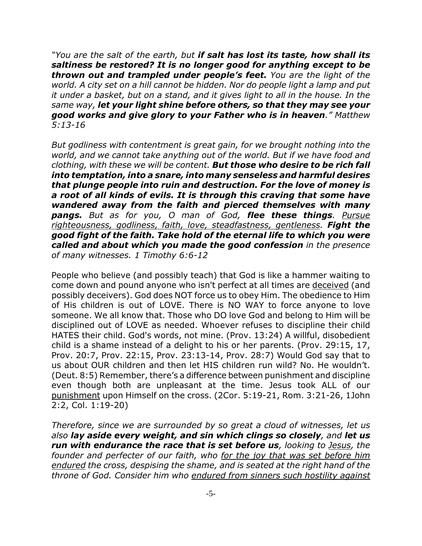*"You are the salt of the earth, but if salt has lost its taste, how shall its saltiness be restored? It is no longer good for anything except to be thrown out and trampled under people's feet. You are the light of the world. A city set on a hill cannot be hidden. Nor do people light a lamp and put it under a basket, but on a stand, and it gives light to all in the house. In the same way, let your light shine before others, so that they may see your good works and give glory to your Father who is in heaven." Matthew 5:13-16*

*But godliness with contentment is great gain, for we brought nothing into the world, and we cannot take anything out of the world. But if we have food and clothing, with these we will be content. But those who desire to be rich fall into temptation, into a snare, into many senseless and harmful desires that plunge people into ruin and destruction. For the love of money is a root of all kinds of evils. It is through this craving that some have wandered away from the faith and pierced themselves with many pangs. But as for you, O man of God, flee these things. Pursue righteousness, godliness, faith, love, steadfastness, gentleness. Fight the good fight of the faith. Take hold of the eternal life to which you were called and about which you made the good confession in the presence of many witnesses. 1 Timothy 6:6-12*

People who believe (and possibly teach) that God is like a hammer waiting to come down and pound anyone who isn't perfect at all times are deceived (and possibly deceivers). God does NOT force us to obey Him. The obedience to Him of His children is out of LOVE. There is NO WAY to force anyone to love someone. We all know that. Those who DO love God and belong to Him will be disciplined out of LOVE as needed. Whoever refuses to discipline their child HATES their child. God's words, not mine. (Prov. 13:24) A willful, disobedient child is a shame instead of a delight to his or her parents. (Prov. 29:15, 17, Prov. 20:7, Prov. 22:15, Prov. 23:13-14, Prov. 28:7) Would God say that to us about OUR children and then let HIS children run wild? No. He wouldn't. (Deut. 8:5) Remember, there's a difference between punishment and discipline even though both are unpleasant at the time. Jesus took ALL of our punishment upon Himself on the cross. (2Cor. 5:19-21, Rom. 3:21-26, 1John 2:2, Col. 1:19-20)

*Therefore, since we are surrounded by so great a cloud of witnesses, let us also lay aside every weight, and sin which clings so closely, and let us run with endurance the race that is set before us, looking to Jesus, the founder and perfecter of our faith, who for the joy that was set before him endured the cross, despising the shame, and is seated at the right hand of the throne of God. Consider him who endured from sinners such hostility against*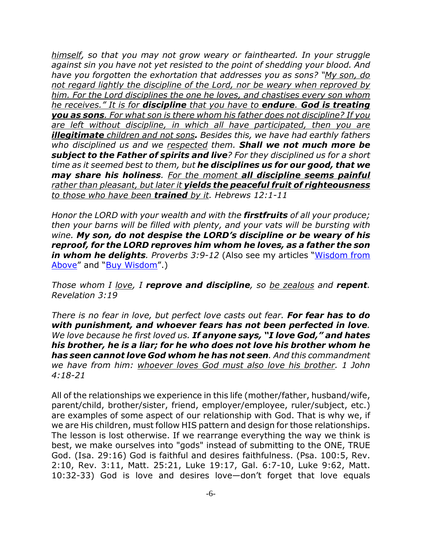*himself, so that you may not grow weary or fainthearted. In your struggle against sin you have not yet resisted to the point of shedding your blood. And have you forgotten the exhortation that addresses you as sons? "My son, do not regard lightly the discipline of the Lord, nor be weary when reproved by him. For the Lord disciplines the one he loves, and chastises every son whom he receives." It is for discipline that you have to endure. God is treating you as sons. For what son is there whom his father does not discipline? If you are left without discipline, in which all have participated, then you are illegitimate children and not sons. Besides this, we have had earthly fathers who disciplined us and we respected them. Shall we not much more be subject to the Father of spirits and live? For they disciplined us for a short time as it seemed best to them, but he disciplines us for our good, that we may share his holiness. For the moment all discipline seems painful rather than pleasant, but later it yields the peaceful fruit of righteousness to those who have been trained by it. Hebrews 12:1-11*

*Honor the LORD with your wealth and with the firstfruits of all your produce; then your barns will be filled with plenty, and your vats will be bursting with wine. My son, do not despise the LORD's discipline or be weary of his reproof, for the LORD reproves him whom he loves, as a father the son in whom he delights. Proverbs 3:9-12* (Also see my articles "Wisdom from Above" and "Buy Wisdom".)

*Those whom I love, I reprove and discipline, so be zealous and repent. Revelation 3:19*

*There is no fear in love, but perfect love casts out fear. For fear has to do with punishment, and whoever fears has not been perfected in love. We love because he first loved us. If anyone says, "I love God," and hates his brother, he is a liar; for he who does not love his brother whom he has seen cannot love God whom he has not seen. And this commandment we have from him: whoever loves God must also love his brother. 1 John 4:18-21*

All of the relationships we experience in this life (mother/father, husband/wife, parent/child, brother/sister, friend, employer/employee, ruler/subject, etc.) are examples of some aspect of our relationship with God. That is why we, if we are His children, must follow HIS pattern and design for those relationships. The lesson is lost otherwise. If we rearrange everything the way we think is best, we make ourselves into "gods" instead of submitting to the ONE, TRUE God. (Isa. 29:16) God is faithful and desires faithfulness. (Psa. 100:5, Rev. 2:10, Rev. 3:11, Matt. 25:21, Luke 19:17, Gal. 6:7-10, Luke 9:62, Matt. 10:32-33) God is love and desires love—don't forget that love equals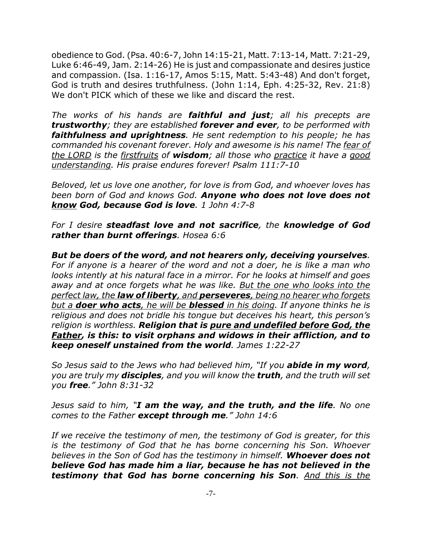obedience to God. (Psa. 40:6-7, John 14:15-21, Matt. 7:13-14, Matt. 7:21-29, Luke 6:46-49, Jam. 2:14-26) He is just and compassionate and desires justice and compassion. (Isa. 1:16-17, Amos 5:15, Matt. 5:43-48) And don't forget, God is truth and desires truthfulness. (John 1:14, Eph. 4:25-32, Rev. 21:8) We don't PICK which of these we like and discard the rest.

*The works of his hands are faithful and just; all his precepts are trustworthy; they are established forever and ever, to be performed with faithfulness and uprightness. He sent redemption to his people; he has commanded his covenant forever. Holy and awesome is his name! The fear of the LORD is the firstfruits of wisdom; all those who practice it have a good understanding. His praise endures forever! Psalm 111:7-10*

*Beloved, let us love one another, for love is from God, and whoever loves has been born of God and knows God. Anyone who does not love does not know God, because God is love. 1 John 4:7-8*

*For I desire steadfast love and not sacrifice, the knowledge of God rather than burnt offerings. Hosea 6:6*

*But be doers of the word, and not hearers only, deceiving yourselves. For if anyone is a hearer of the word and not a doer, he is like a man who looks intently at his natural face in a mirror. For he looks at himself and goes away and at once forgets what he was like. But the one who looks into the perfect law, the law of liberty, and perseveres, being no hearer who forgets but a doer who acts, he will be blessed in his doing. If anyone thinks he is religious and does not bridle his tongue but deceives his heart, this person's religion is worthless. Religion that is pure and undefiled before God, the Father, is this: to visit orphans and widows in their affliction, and to keep oneself unstained from the world. James 1:22-27*

*So Jesus said to the Jews who had believed him, "If you abide in my word, you are truly my disciples, and you will know the truth, and the truth will set you free." John 8:31-32*

*Jesus said to him, "I am the way, and the truth, and the life. No one comes to the Father except through me." John 14:6*

*If we receive the testimony of men, the testimony of God is greater, for this is the testimony of God that he has borne concerning his Son. Whoever believes in the Son of God has the testimony in himself. Whoever does not believe God has made him a liar, because he has not believed in the testimony that God has borne concerning his Son. And this is the*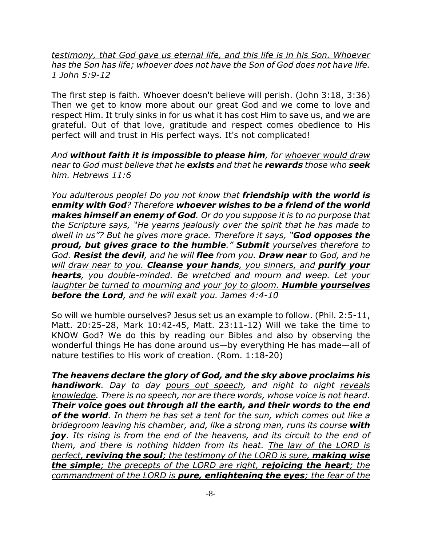*testimony, that God gave us eternal life, and this life is in his Son. Whoever has the Son has life; whoever does not have the Son of God does not have life. 1 John 5:9-12*

The first step is faith. Whoever doesn't believe will perish. (John 3:18, 3:36) Then we get to know more about our great God and we come to love and respect Him. It truly sinks in for us what it has cost Him to save us, and we are grateful. Out of that love, gratitude and respect comes obedience to His perfect will and trust in His perfect ways. It's not complicated!

## *And without faith it is impossible to please him, for whoever would draw near to God must believe that he exists and that he rewards those who seek him. Hebrews 11:6*

*You adulterous people! Do you not know that friendship with the world is enmity with God? Therefore whoever wishes to be a friend of the world makes himself an enemy of God. Or do you suppose it is to no purpose that the Scripture says, "He yearns jealously over the spirit that he has made to dwell in us"? But he gives more grace. Therefore it says, "God opposes the proud, but gives grace to the humble." Submit yourselves therefore to God. Resist the devil, and he will flee from you. Draw near to God, and he will draw near to you. Cleanse your hands, you sinners, and purify your hearts, you double-minded. Be wretched and mourn and weep. Let your laughter be turned to mourning and your joy to gloom. Humble yourselves before the Lord, and he will exalt you. James 4:4-10*

So will we humble ourselves? Jesus set us an example to follow. (Phil. 2:5-11, Matt. 20:25-28, Mark 10:42-45, Matt. 23:11-12) Will we take the time to KNOW God? We do this by reading our Bibles and also by observing the wonderful things He has done around us—by everything He has made—all of nature testifies to His work of creation. (Rom. 1:18-20)

*The heavens declare the glory of God, and the sky above proclaims his handiwork. Day to day pours out speech, and night to night reveals knowledge. There is no speech, nor are there words, whose voice is not heard. Their voice goes out through all the earth, and their words to the end of the world. In them he has set a tent for the sun, which comes out like a bridegroom leaving his chamber, and, like a strong man, runs its course with joy. Its rising is from the end of the heavens, and its circuit to the end of them, and there is nothing hidden from its heat. The law of the LORD is perfect, reviving the soul; the testimony of the LORD is sure, making wise the simple; the precepts of the LORD are right, rejoicing the heart; the commandment of the LORD is pure, enlightening the eyes; the fear of the*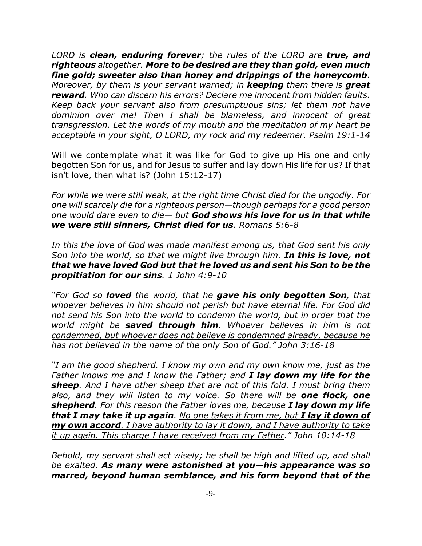*LORD is clean, enduring forever; the rules of the LORD are true, and righteous altogether. More to be desired are they than gold, even much fine gold; sweeter also than honey and drippings of the honeycomb. Moreover, by them is your servant warned; in keeping them there is great reward. Who can discern his errors? Declare me innocent from hidden faults. Keep back your servant also from presumptuous sins; let them not have dominion over me! Then I shall be blameless, and innocent of great transgression. Let the words of my mouth and the meditation of my heart be acceptable in your sight, O LORD, my rock and my redeemer. Psalm 19:1-14*

Will we contemplate what it was like for God to give up His one and only begotten Son for us, and for Jesus to suffer and lay down His life for us? If that isn't love, then what is? (John 15:12-17)

*For while we were still weak, at the right time Christ died for the ungodly. For one will scarcely die for a righteous person—though perhaps for a good person one would dare even to die— but God shows his love for us in that while we were still sinners, Christ died for us. Romans 5:6-8*

*In this the love of God was made manifest among us, that God sent his only Son into the world, so that we might live through him. In this is love, not that we have loved God but that he loved us and sent his Son to be the propitiation for our sins. 1 John 4:9-10*

*"For God so loved the world, that he gave his only begotten Son, that whoever believes in him should not perish but have eternal life. For God did not send his Son into the world to condemn the world, but in order that the world might be saved through him. Whoever believes in him is not condemned, but whoever does not believe is condemned already, because he has not believed in the name of the only Son of God." John 3:16-18*

*"I am the good shepherd. I know my own and my own know me, just as the Father knows me and I know the Father; and I lay down my life for the sheep. And I have other sheep that are not of this fold. I must bring them also, and they will listen to my voice. So there will be one flock, one shepherd. For this reason the Father loves me, because I lay down my life that I may take it up again. No one takes it from me, but I lay it down of my own accord. I have authority to lay it down, and I have authority to take it up again. This charge I have received from my Father." John 10:14-18*

*Behold, my servant shall act wisely; he shall be high and lifted up, and shall be exalted. As many were astonished at you—his appearance was so marred, beyond human semblance, and his form beyond that of the*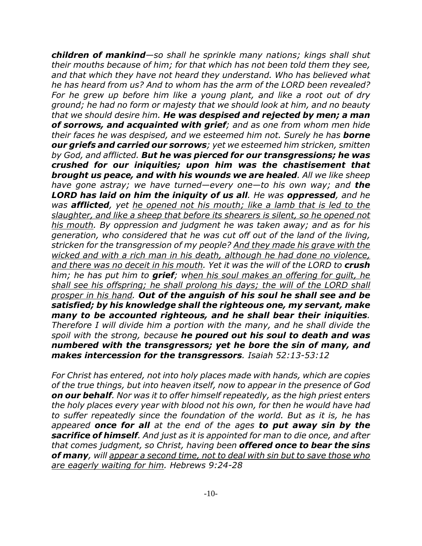*children of mankind—so shall he sprinkle many nations; kings shall shut their mouths because of him; for that which has not been told them they see, and that which they have not heard they understand. Who has believed what he has heard from us? And to whom has the arm of the LORD been revealed? For he grew up before him like a young plant, and like a root out of dry ground; he had no form or majesty that we should look at him, and no beauty that we should desire him. He was despised and rejected by men; a man of sorrows, and acquainted with grief; and as one from whom men hide their faces he was despised, and we esteemed him not. Surely he has borne our griefs and carried our sorrows; yet we esteemed him stricken, smitten by God, and afflicted. But he was pierced for our transgressions; he was crushed for our iniquities; upon him was the chastisement that brought us peace, and with his wounds we are healed. All we like sheep have gone astray; we have turned—every one—to his own way; and the LORD has laid on him the iniquity of us all. He was oppressed, and he was afflicted, yet he opened not his mouth; like a lamb that is led to the slaughter, and like a sheep that before its shearers is silent, so he opened not his mouth. By oppression and judgment he was taken away; and as for his generation, who considered that he was cut off out of the land of the living, stricken for the transgression of my people? And they made his grave with the wicked and with a rich man in his death, although he had done no violence,* and there was no deceit in his mouth. Yet it was the will of the LORD to **crush** *him; he has put him to grief; when his soul makes an offering for guilt, he shall see his offspring; he shall prolong his days; the will of the LORD shall prosper in his hand. Out of the anguish of his soul he shall see and be satisfied; by his knowledge shall the righteous one, my servant, make many to be accounted righteous, and he shall bear their iniquities. Therefore I will divide him a portion with the many, and he shall divide the spoil with the strong, because he poured out his soul to death and was numbered with the transgressors; yet he bore the sin of many, and makes intercession for the transgressors. Isaiah 52:13-53:12*

*For Christ has entered, not into holy places made with hands, which are copies of the true things, but into heaven itself, now to appear in the presence of God on our behalf. Nor was it to offer himself repeatedly, as the high priest enters the holy places every year with blood not his own, for then he would have had to suffer repeatedly since the foundation of the world. But as it is, he has appeared once for all at the end of the ages to put away sin by the sacrifice of himself. And just as it is appointed for man to die once, and after that comes judgment, so Christ, having been offered once to bear the sins of many, will appear a second time, not to deal with sin but to save those who are eagerly waiting for him. Hebrews 9:24-28*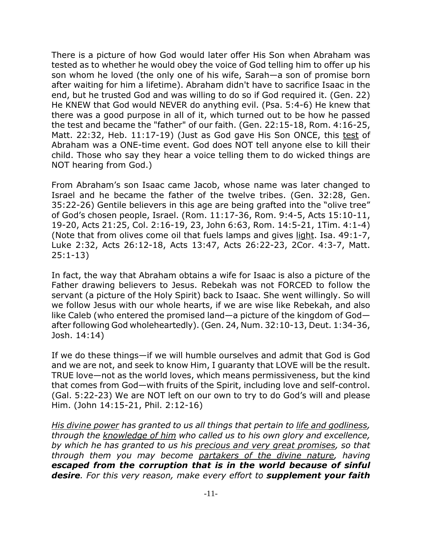There is a picture of how God would later offer His Son when Abraham was tested as to whether he would obey the voice of God telling him to offer up his son whom he loved (the only one of his wife, Sarah—a son of promise born after waiting for him a lifetime). Abraham didn't have to sacrifice Isaac in the end, but he trusted God and was willing to do so if God required it. (Gen. 22) He KNEW that God would NEVER do anything evil. (Psa. 5:4-6) He knew that there was a good purpose in all of it, which turned out to be how he passed the test and became the "father" of our faith. (Gen. 22:15-18, Rom. 4:16-25, Matt. 22:32, Heb. 11:17-19) (Just as God gave His Son ONCE, this test of Abraham was a ONE-time event. God does NOT tell anyone else to kill their child. Those who say they hear a voice telling them to do wicked things are NOT hearing from God.)

From Abraham's son Isaac came Jacob, whose name was later changed to Israel and he became the father of the twelve tribes. (Gen. 32:28, Gen. 35:22-26) Gentile believers in this age are being grafted into the "olive tree" of God's chosen people, Israel. (Rom. 11:17-36, Rom. 9:4-5, Acts 15:10-11, 19-20, Acts 21:25, Col. 2:16-19, 23, John 6:63, Rom. 14:5-21, 1Tim. 4:1-4) (Note that from olives come oil that fuels lamps and gives light. Isa. 49:1-7, Luke 2:32, Acts 26:12-18, Acts 13:47, Acts 26:22-23, 2Cor. 4:3-7, Matt. 25:1-13)

In fact, the way that Abraham obtains a wife for Isaac is also a picture of the Father drawing believers to Jesus. Rebekah was not FORCED to follow the servant (a picture of the Holy Spirit) back to Isaac. She went willingly. So will we follow Jesus with our whole hearts, if we are wise like Rebekah, and also like Caleb (who entered the promised land—a picture of the kingdom of God after following God wholeheartedly). (Gen. 24, Num. 32:10-13, Deut. 1:34-36, Josh. 14:14)

If we do these things—if we will humble ourselves and admit that God is God and we are not, and seek to know Him, I guaranty that LOVE will be the result. TRUE love—not as the world loves, which means permissiveness, but the kind that comes from God—with fruits of the Spirit, including love and self-control. (Gal. 5:22-23) We are NOT left on our own to try to do God's will and please Him. (John 14:15-21, Phil. 2:12-16)

*His divine power has granted to us all things that pertain to life and godliness, through the knowledge of him who called us to his own glory and excellence, by which he has granted to us his precious and very great promises, so that through them you may become partakers of the divine nature, having escaped from the corruption that is in the world because of sinful desire. For this very reason, make every effort to supplement your faith*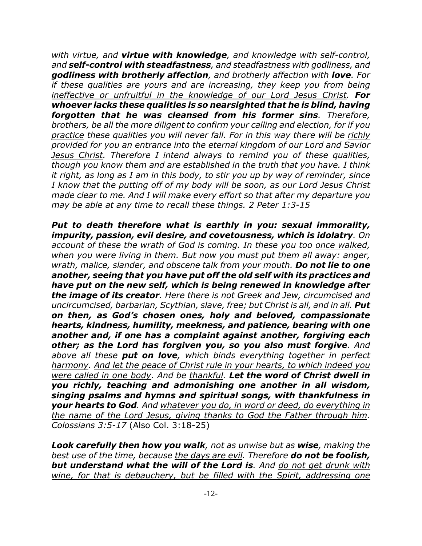*with virtue, and virtue with knowledge, and knowledge with self-control, and self-control with steadfastness, and steadfastness with godliness, and godliness with brotherly affection, and brotherly affection with love. For if these qualities are yours and are increasing, they keep you from being ineffective or unfruitful in the knowledge of our Lord Jesus Christ. For whoever lacks these qualities is so nearsighted that he is blind, having forgotten that he was cleansed from his former sins. Therefore, brothers, be all the more diligent to confirm your calling and election, for if you practice these qualities you will never fall. For in this way there will be richly provided for you an entrance into the eternal kingdom of our Lord and Savior Jesus Christ. Therefore I intend always to remind you of these qualities, though you know them and are established in the truth that you have. I think it right, as long as I am in this body, to stir you up by way of reminder, since I know that the putting off of my body will be soon, as our Lord Jesus Christ made clear to me. And I will make every effort so that after my departure you may be able at any time to recall these things. 2 Peter 1:3-15*

*Put to death therefore what is earthly in you: sexual immorality, impurity, passion, evil desire, and covetousness, which is idolatry. On account of these the wrath of God is coming. In these you too once walked, when you were living in them. But now you must put them all away: anger, wrath, malice, slander, and obscene talk from your mouth. Do not lie to one another, seeing that you have put off the old self with its practices and have put on the new self, which is being renewed in knowledge after the image of its creator. Here there is not Greek and Jew, circumcised and uncircumcised, barbarian, Scythian, slave, free; but Christ is all, and in all. Put on then, as God's chosen ones, holy and beloved, compassionate hearts, kindness, humility, meekness, and patience, bearing with one another and, if one has a complaint against another, forgiving each other; as the Lord has forgiven you, so you also must forgive. And above all these put on love, which binds everything together in perfect harmony. And let the peace of Christ rule in your hearts, to which indeed you were called in one body. And be thankful. Let the word of Christ dwell in you richly, teaching and admonishing one another in all wisdom, singing psalms and hymns and spiritual songs, with thankfulness in your hearts to God. And whatever you do, in word or deed, do everything in the name of the Lord Jesus, giving thanks to God the Father through him. Colossians 3:5-17* (Also Col. 3:18-25)

*Look carefully then how you walk, not as unwise but as wise, making the best use of the time, because the days are evil. Therefore do not be foolish, but understand what the will of the Lord is. And do not get drunk with wine, for that is debauchery, but be filled with the Spirit, addressing one*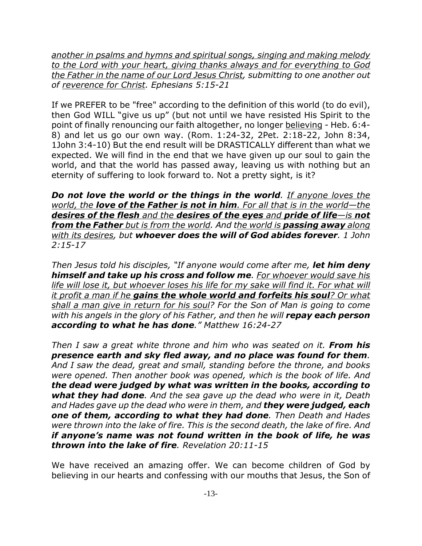*another in psalms and hymns and spiritual songs, singing and making melody to the Lord with your heart, giving thanks always and for everything to God the Father in the name of our Lord Jesus Christ, submitting to one another out of reverence for Christ. Ephesians 5:15-21*

If we PREFER to be "free" according to the definition of this world (to do evil), then God WILL "give us up" (but not until we have resisted His Spirit to the point of finally renouncing our faith altogether, no longer believing - Heb. 6:4- 8) and let us go our own way. (Rom. 1:24-32, 2Pet. 2:18-22, John 8:34, 1John 3:4-10) But the end result will be DRASTICALLY different than what we expected. We will find in the end that we have given up our soul to gain the world, and that the world has passed away, leaving us with nothing but an eternity of suffering to look forward to. Not a pretty sight, is it?

*Do not love the world or the things in the world. If anyone loves the world, the love of the Father is not in him. For all that is in the world—the desires of the flesh and the desires of the eyes and pride of life—is not from the Father but is from the world. And the world is passing away along with its desires, but whoever does the will of God abides forever. 1 John 2:15-17*

*Then Jesus told his disciples, "If anyone would come after me, let him deny himself and take up his cross and follow me. For whoever would save his life will lose it, but whoever loses his life for my sake will find it. For what will it profit a man if he gains the whole world and forfeits his soul? Or what shall a man give in return for his soul? For the Son of Man is going to come with his angels in the glory of his Father, and then he will repay each person according to what he has done." Matthew 16:24-27*

*Then I saw a great white throne and him who was seated on it. From his presence earth and sky fled away, and no place was found for them. And I saw the dead, great and small, standing before the throne, and books were opened. Then another book was opened, which is the book of life. And the dead were judged by what was written in the books, according to what they had done. And the sea gave up the dead who were in it, Death and Hades gave up the dead who were in them, and they were judged, each one of them, according to what they had done. Then Death and Hades were thrown into the lake of fire. This is the second death, the lake of fire. And if anyone's name was not found written in the book of life, he was thrown into the lake of fire. Revelation 20:11-15*

We have received an amazing offer. We can become children of God by believing in our hearts and confessing with our mouths that Jesus, the Son of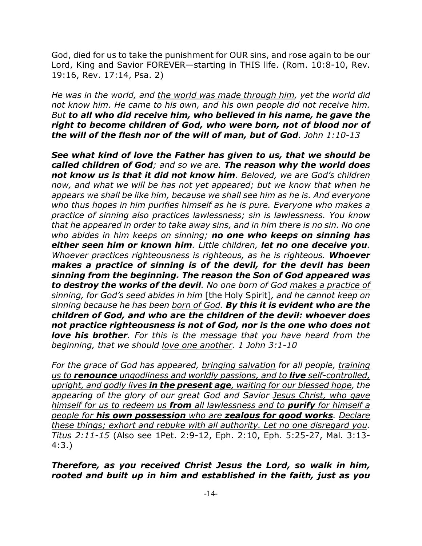God, died for us to take the punishment for OUR sins, and rose again to be our Lord, King and Savior FOREVER—starting in THIS life. (Rom. 10:8-10, Rev. 19:16, Rev. 17:14, Psa. 2)

*He was in the world, and the world was made through him, yet the world did not know him. He came to his own, and his own people did not receive him. But to all who did receive him, who believed in his name, he gave the right to become children of God, who were born, not of blood nor of the will of the flesh nor of the will of man, but of God. John 1:10-13*

*See what kind of love the Father has given to us, that we should be called children of God; and so we are. The reason why the world does not know us is that it did not know him. Beloved, we are God's children now, and what we will be has not yet appeared; but we know that when he appears we shall be like him, because we shall see him as he is. And everyone who thus hopes in him purifies himself as he is pure. Everyone who makes a practice of sinning also practices lawlessness; sin is lawlessness. You know that he appeared in order to take away sins, and in him there is no sin. No one who abides in him keeps on sinning; no one who keeps on sinning has either seen him or known him. Little children, let no one deceive you. Whoever practices righteousness is righteous, as he is righteous. Whoever makes a practice of sinning is of the devil, for the devil has been sinning from the beginning. The reason the Son of God appeared was to destroy the works of the devil. No one born of God makes a practice of sinning, for God's seed abides in him* [the Holy Spirit]*, and he cannot keep on sinning because he has been born of God. By this it is evident who are the children of God, and who are the children of the devil: whoever does not practice righteousness is not of God, nor is the one who does not love his brother. For this is the message that you have heard from the beginning, that we should love one another. 1 John 3:1-10*

*For the grace of God has appeared, bringing salvation for all people, training us to renounce ungodliness and worldly passions, and to live self-controlled, upright, and godly lives in the present age, waiting for our blessed hope, the appearing of the glory of our great God and Savior Jesus Christ, who gave himself for us to redeem us from all lawlessness and to purify for himself a people for his own possession who are zealous for good works. Declare these things; exhort and rebuke with all authority. Let no one disregard you. Titus 2:11-15* (Also see 1Pet. 2:9-12, Eph. 2:10, Eph. 5:25-27, Mal. 3:13- 4:3.)

*Therefore, as you received Christ Jesus the Lord, so walk in him, rooted and built up in him and established in the faith, just as you*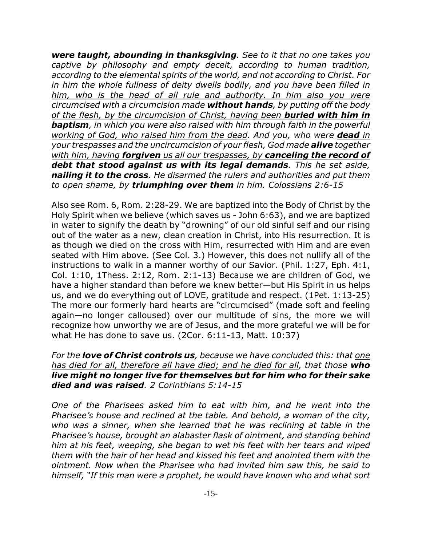*were taught, abounding in thanksgiving. See to it that no one takes you captive by philosophy and empty deceit, according to human tradition, according to the elemental spirits of the world, and not according to Christ. For in him the whole fullness of deity dwells bodily, and you have been filled in him, who is the head of all rule and authority. In him also you were circumcised with a circumcision made without hands, by putting off the body of the flesh, by the circumcision of Christ, having been buried with him in baptism, in which you were also raised with him through faith in the powerful working of God, who raised him from the dead. And you, who were dead in your trespasses and the uncircumcision of your flesh, God made alive together with him, having forgiven us all our trespasses, by canceling the record of debt that stood against us with its legal demands. This he set aside, nailing it to the cross. He disarmed the rulers and authorities and put them to open shame, by triumphing over them in him. Colossians 2:6-15*

Also see Rom. 6, Rom. 2:28-29. We are baptized into the Body of Christ by the Holy Spirit when we believe (which saves us - John 6:63), and we are baptized in water to signify the death by "drowning" of our old sinful self and our rising out of the water as a new, clean creation in Christ, into His resurrection. It is as though we died on the cross with Him, resurrected with Him and are even seated with Him above. (See Col. 3.) However, this does not nullify all of the instructions to walk in a manner worthy of our Savior. (Phil. 1:27, Eph. 4:1, Col. 1:10, 1Thess. 2:12, Rom. 2:1-13) Because we are children of God, we have a higher standard than before we knew better—but His Spirit in us helps us, and we do everything out of LOVE, gratitude and respect. (1Pet. 1:13-25) The more our formerly hard hearts are "circumcised" (made soft and feeling again—no longer calloused) over our multitude of sins, the more we will recognize how unworthy we are of Jesus, and the more grateful we will be for what He has done to save us. (2Cor. 6:11-13, Matt. 10:37)

*For the love of Christ controls us, because we have concluded this: that one has died for all, therefore all have died; and he died for all, that those who live might no longer live for themselves but for him who for their sake died and was raised. 2 Corinthians 5:14-15*

*One of the Pharisees asked him to eat with him, and he went into the Pharisee's house and reclined at the table. And behold, a woman of the city, who was a sinner, when she learned that he was reclining at table in the Pharisee's house, brought an alabaster flask of ointment, and standing behind him at his feet, weeping, she began to wet his feet with her tears and wiped them with the hair of her head and kissed his feet and anointed them with the ointment. Now when the Pharisee who had invited him saw this, he said to himself, "If this man were a prophet, he would have known who and what sort*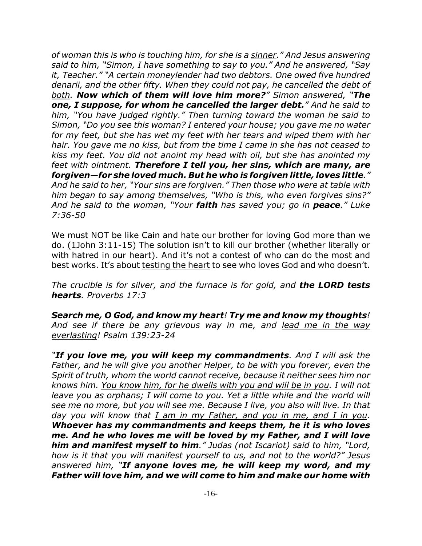*of woman this is who is touching him, for she is a sinner." And Jesus answering said to him, "Simon, I have something to say to you." And he answered, "Say it, Teacher." "A certain moneylender had two debtors. One owed five hundred denarii, and the other fifty. When they could not pay, he cancelled the debt of both. Now which of them will love him more?" Simon answered, "The one, I suppose, for whom he cancelled the larger debt." And he said to him, "You have judged rightly." Then turning toward the woman he said to Simon, "Do you see this woman? I entered your house; you gave me no water for my feet, but she has wet my feet with her tears and wiped them with her hair. You gave me no kiss, but from the time I came in she has not ceased to kiss my feet. You did not anoint my head with oil, but she has anointed my feet with ointment. Therefore I tell you, her sins, which are many, are forgiven—for she loved much. But he who is forgiven little, loves little." And he said to her, "Your sins are forgiven." Then those who were at table with him began to say among themselves, "Who is this, who even forgives sins?" And he said to the woman, "Your faith has saved you; go in peace." Luke 7:36-50*

We must NOT be like Cain and hate our brother for loving God more than we do. (1John 3:11-15) The solution isn't to kill our brother (whether literally or with hatred in our heart). And it's not a contest of who can do the most and best works. It's about testing the heart to see who loves God and who doesn't.

*The crucible is for silver, and the furnace is for gold, and the LORD tests hearts. Proverbs 17:3*

*Search me, O God, and know my heart! Try me and know my thoughts! And see if there be any grievous way in me, and lead me in the way everlasting! Psalm 139:23-24*

*"If you love me, you will keep my commandments. And I will ask the Father, and he will give you another Helper, to be with you forever, even the Spirit of truth, whom the world cannot receive, because it neither sees him nor knows him. You know him, for he dwells with you and will be in you. I will not leave you as orphans; I will come to you. Yet a little while and the world will see me no more, but you will see me. Because I live, you also will live. In that day you will know that I am in my Father, and you in me, and I in you. Whoever has my commandments and keeps them, he it is who loves me. And he who loves me will be loved by my Father, and I will love him and manifest myself to him." Judas (not Iscariot) said to him, "Lord, how is it that you will manifest yourself to us, and not to the world?" Jesus answered him, "If anyone loves me, he will keep my word, and my Father will love him, and we will come to him and make our home with*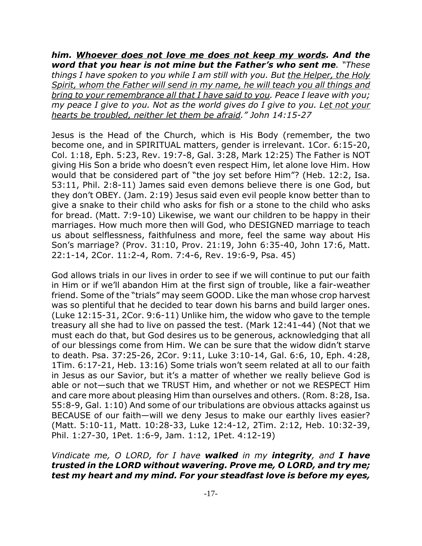*him. Whoever does not love me does not keep my words. And the word that you hear is not mine but the Father's who sent me. "These things I have spoken to you while I am still with you. But the Helper, the Holy Spirit, whom the Father will send in my name, he will teach you all things and bring to your remembrance all that I have said to you. Peace I leave with you; my peace I give to you. Not as the world gives do I give to you. Let not your hearts be troubled, neither let them be afraid." John 14:15-27*

Jesus is the Head of the Church, which is His Body (remember, the two become one, and in SPIRITUAL matters, gender is irrelevant. 1Cor. 6:15-20, Col. 1:18, Eph. 5:23, Rev. 19:7-8, Gal. 3:28, Mark 12:25) The Father is NOT giving His Son a bride who doesn't even respect Him, let alone love Him. How would that be considered part of "the joy set before Him"? (Heb. 12:2, Isa. 53:11, Phil. 2:8-11) James said even demons believe there is one God, but they don't OBEY. (Jam. 2:19) Jesus said even evil people know better than to give a snake to their child who asks for fish or a stone to the child who asks for bread. (Matt. 7:9-10) Likewise, we want our children to be happy in their marriages. How much more then will God, who DESIGNED marriage to teach us about selflessness, faithfulness and more, feel the same way about His Son's marriage? (Prov. 31:10, Prov. 21:19, John 6:35-40, John 17:6, Matt. 22:1-14, 2Cor. 11:2-4, Rom. 7:4-6, Rev. 19:6-9, Psa. 45)

God allows trials in our lives in order to see if we will continue to put our faith in Him or if we'll abandon Him at the first sign of trouble, like a fair-weather friend. Some of the "trials" may seem GOOD. Like the man whose crop harvest was so plentiful that he decided to tear down his barns and build larger ones. (Luke 12:15-31, 2Cor. 9:6-11) Unlike him, the widow who gave to the temple treasury all she had to live on passed the test. (Mark 12:41-44) (Not that we must each do that, but God desires us to be generous, acknowledging that all of our blessings come from Him. We can be sure that the widow didn't starve to death. Psa. 37:25-26, 2Cor. 9:11, Luke 3:10-14, Gal. 6:6, 10, Eph. 4:28, 1Tim. 6:17-21, Heb. 13:16) Some trials won't seem related at all to our faith in Jesus as our Savior, but it's a matter of whether we really believe God is able or not—such that we TRUST Him, and whether or not we RESPECT Him and care more about pleasing Him than ourselves and others. (Rom. 8:28, Isa. 55:8-9, Gal. 1:10) And some of our tribulations are obvious attacks against us BECAUSE of our faith—will we deny Jesus to make our earthly lives easier? (Matt. 5:10-11, Matt. 10:28-33, Luke 12:4-12, 2Tim. 2:12, Heb. 10:32-39, Phil. 1:27-30, 1Pet. 1:6-9, Jam. 1:12, 1Pet. 4:12-19)

*Vindicate me, O LORD, for I have walked in my integrity, and I have trusted in the LORD without wavering. Prove me, O LORD, and try me; test my heart and my mind. For your steadfast love is before my eyes,*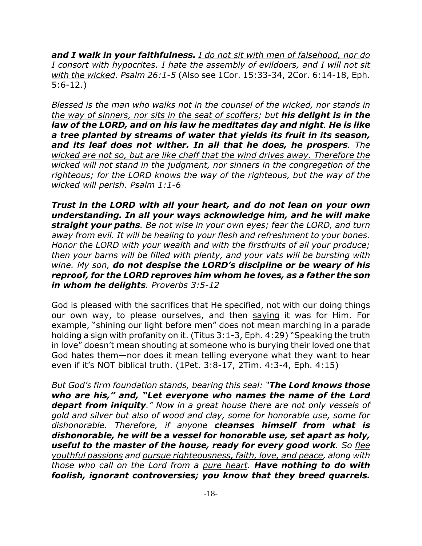*and I walk in your faithfulness. I do not sit with men of falsehood, nor do I consort with hypocrites. I hate the assembly of evildoers, and I will not sit with the wicked. Psalm 26:1-5* (Also see 1Cor. 15:33-34, 2Cor. 6:14-18, Eph. 5:6-12.)

*Blessed is the man who walks not in the counsel of the wicked, nor stands in the way of sinners, nor sits in the seat of scoffers; but his delight is in the law of the LORD, and on his law he meditates day and night. He is like a tree planted by streams of water that yields its fruit in its season, and its leaf does not wither. In all that he does, he prospers. The wicked are not so, but are like chaff that the wind drives away. Therefore the wicked will not stand in the judgment, nor sinners in the congregation of the righteous; for the LORD knows the way of the righteous, but the way of the wicked will perish. Psalm 1:1-6*

*Trust in the LORD with all your heart, and do not lean on your own understanding. In all your ways acknowledge him, and he will make straight your paths. Be not wise in your own eyes; fear the LORD, and turn away from evil. It will be healing to your flesh and refreshment to your bones. Honor the LORD with your wealth and with the firstfruits of all your produce; then your barns will be filled with plenty, and your vats will be bursting with wine. My son, do not despise the LORD's discipline or be weary of his reproof, for the LORD reproves him whom he loves, as a father the son in whom he delights. Proverbs 3:5-12*

God is pleased with the sacrifices that He specified, not with our doing things our own way, to please ourselves, and then saying it was for Him. For example, "shining our light before men" does not mean marching in a parade holding a sign with profanity on it. (Titus 3:1-3, Eph. 4:29) "Speaking the truth in love" doesn't mean shouting at someone who is burying their loved one that God hates them—nor does it mean telling everyone what they want to hear even if it's NOT biblical truth. (1Pet. 3:8-17, 2Tim. 4:3-4, Eph. 4:15)

*But God's firm foundation stands, bearing this seal: "The Lord knows those who are his," and, "Let everyone who names the name of the Lord depart from iniquity." Now in a great house there are not only vessels of gold and silver but also of wood and clay, some for honorable use, some for dishonorable. Therefore, if anyone cleanses himself from what is dishonorable, he will be a vessel for honorable use, set apart as holy, useful to the master of the house, ready for every good work. So flee youthful passions and pursue righteousness, faith, love, and peace, along with those who call on the Lord from a pure heart. Have nothing to do with foolish, ignorant controversies; you know that they breed quarrels.*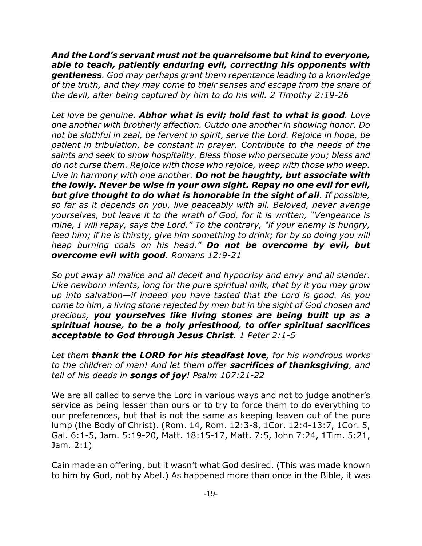*And the Lord's servant must not be quarrelsome but kind to everyone, able to teach, patiently enduring evil, correcting his opponents with gentleness. God may perhaps grant them repentance leading to a knowledge of the truth, and they may come to their senses and escape from the snare of the devil, after being captured by him to do his will. 2 Timothy 2:19-26*

*Let love be genuine. Abhor what is evil; hold fast to what is good. Love one another with brotherly affection. Outdo one another in showing honor. Do not be slothful in zeal, be fervent in spirit, serve the Lord. Rejoice in hope, be patient in tribulation, be constant in prayer. Contribute to the needs of the saints and seek to show hospitality. Bless those who persecute you; bless and do not curse them. Rejoice with those who rejoice, weep with those who weep. Live in harmony with one another. Do not be haughty, but associate with the lowly. Never be wise in your own sight. Repay no one evil for evil, but give thought to do what is honorable in the sight of all. If possible, so far as it depends on you, live peaceably with all. Beloved, never avenge yourselves, but leave it to the wrath of God, for it is written, "Vengeance is mine, I will repay, says the Lord." To the contrary, "if your enemy is hungry, feed him; if he is thirsty, give him something to drink; for by so doing you will heap burning coals on his head." Do not be overcome by evil, but overcome evil with good. Romans 12:9-21*

*So put away all malice and all deceit and hypocrisy and envy and all slander. Like newborn infants, long for the pure spiritual milk, that by it you may grow up into salvation—if indeed you have tasted that the Lord is good. As you come to him, a living stone rejected by men but in the sight of God chosen and precious, you yourselves like living stones are being built up as a spiritual house, to be a holy priesthood, to offer spiritual sacrifices acceptable to God through Jesus Christ. 1 Peter 2:1-5*

*Let them thank the LORD for his steadfast love, for his wondrous works to the children of man! And let them offer sacrifices of thanksgiving, and tell of his deeds in songs of joy! Psalm 107:21-22*

We are all called to serve the Lord in various ways and not to judge another's service as being lesser than ours or to try to force them to do everything to our preferences, but that is not the same as keeping leaven out of the pure lump (the Body of Christ). (Rom. 14, Rom. 12:3-8, 1Cor. 12:4-13:7, 1Cor. 5, Gal. 6:1-5, Jam. 5:19-20, Matt. 18:15-17, Matt. 7:5, John 7:24, 1Tim. 5:21, Jam. 2:1)

Cain made an offering, but it wasn't what God desired. (This was made known to him by God, not by Abel.) As happened more than once in the Bible, it was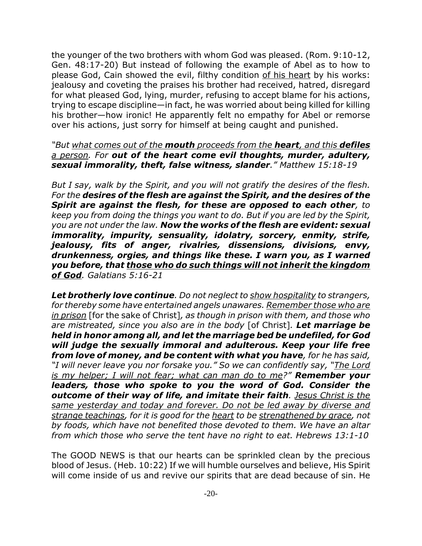the younger of the two brothers with whom God was pleased. (Rom. 9:10-12, Gen. 48:17-20) But instead of following the example of Abel as to how to please God, Cain showed the evil, filthy condition of his heart by his works: jealousy and coveting the praises his brother had received, hatred, disregard for what pleased God, lying, murder, refusing to accept blame for his actions, trying to escape discipline—in fact, he was worried about being killed for killing his brother—how ironic! He apparently felt no empathy for Abel or remorse over his actions, just sorry for himself at being caught and punished.

*"But what comes out of the mouth proceeds from the heart, and this defiles a person. For out of the heart come evil thoughts, murder, adultery, sexual immorality, theft, false witness, slander." Matthew 15:18-19*

*But I say, walk by the Spirit, and you will not gratify the desires of the flesh. For the desires of the flesh are against the Spirit, and the desires of the Spirit are against the flesh, for these are opposed to each other, to keep you from doing the things you want to do. But if you are led by the Spirit, you are not under the law. Now the works of the flesh are evident: sexual immorality, impurity, sensuality, idolatry, sorcery, enmity, strife, jealousy, fits of anger, rivalries, dissensions, divisions, envy, drunkenness, orgies, and things like these. I warn you, as I warned you before, that those who do such things will not inherit the kingdom of God. Galatians 5:16-21*

*Let brotherly love continue. Do not neglect to show hospitality to strangers, for thereby some have entertained angels unawares. Remember those who are in prison* [for the sake of Christ]*, as though in prison with them, and those who are mistreated, since you also are in the body* [of Christ]*. Let marriage be held in honor among all, and let the marriage bed be undefiled, for God will judge the sexually immoral and adulterous. Keep your life free from love of money, and be content with what you have, for he has said, "I will never leave you nor forsake you." So we can confidently say, "The Lord is my helper; I will not fear; what can man do to me?" Remember your leaders, those who spoke to you the word of God. Consider the outcome of their way of life, and imitate their faith. Jesus Christ is the same yesterday and today and forever. Do not be led away by diverse and strange teachings, for it is good for the heart to be strengthened by grace, not by foods, which have not benefited those devoted to them. We have an altar from which those who serve the tent have no right to eat. Hebrews 13:1-10*

The GOOD NEWS is that our hearts can be sprinkled clean by the precious blood of Jesus. (Heb. 10:22) If we will humble ourselves and believe, His Spirit will come inside of us and revive our spirits that are dead because of sin. He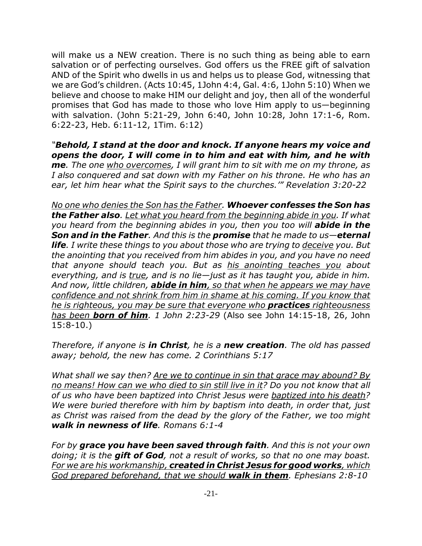will make us a NEW creation. There is no such thing as being able to earn salvation or of perfecting ourselves. God offers us the FREE gift of salvation AND of the Spirit who dwells in us and helps us to please God, witnessing that we are God's children. (Acts 10:45, 1John 4:4, Gal. 4:6, 1John 5:10) When we believe and choose to make HIM our delight and joy, then all of the wonderful promises that God has made to those who love Him apply to us—beginning with salvation. (John 5:21-29, John 6:40, John 10:28, John 17:1-6, Rom. 6:22-23, Heb. 6:11-12, 1Tim. 6:12)

*"Behold, I stand at the door and knock. If anyone hears my voice and opens the door, I will come in to him and eat with him, and he with me. The one who overcomes, I will grant him to sit with me on my throne, as I also conquered and sat down with my Father on his throne. He who has an ear, let him hear what the Spirit says to the churches.'" Revelation 3:20-22*

*No one who denies the Son has the Father. Whoever confesses the Son has the Father also. Let what you heard from the beginning abide in you. If what you heard from the beginning abides in you, then you too will abide in the Son and in the Father. And this is the promise that he made to us—eternal life. I write these things to you about those who are trying to deceive you. But the anointing that you received from him abides in you, and you have no need that anyone should teach you. But as his anointing teaches you about everything, and is true, and is no lie—just as it has taught you, abide in him. And now, little children, abide in him, so that when he appears we may have confidence and not shrink from him in shame at his coming. If you know that he is righteous, you may be sure that everyone who practices righteousness has been born of him. 1 John 2:23-29* (Also see John 14:15-18, 26, John 15:8-10.)

*Therefore, if anyone is in Christ, he is a new creation. The old has passed away; behold, the new has come. 2 Corinthians 5:17*

*What shall we say then? Are we to continue in sin that grace may abound? By no means! How can we who died to sin still live in it? Do you not know that all of us who have been baptized into Christ Jesus were baptized into his death? We were buried therefore with him by baptism into death, in order that, just as Christ was raised from the dead by the glory of the Father, we too might walk in newness of life. Romans 6:1-4*

*For by grace you have been saved through faith. And this is not your own doing; it is the gift of God, not a result of works, so that no one may boast. For we are his workmanship, created in Christ Jesus for good works, which God prepared beforehand, that we should walk in them. Ephesians 2:8-10*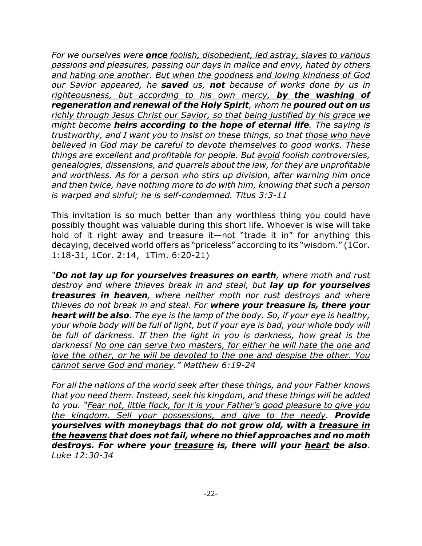*For we ourselves were once foolish, disobedient, led astray, slaves to various passions and pleasures, passing our days in malice and envy, hated by others and hating one another. But when the goodness and loving kindness of God our Savior appeared, he saved us, not because of works done by us in righteousness, but according to his own mercy, by the washing of regeneration and renewal of the Holy Spirit, whom he poured out on us richly through Jesus Christ our Savior, so that being justified by his grace we might become heirs according to the hope of eternal life. The saying is trustworthy, and I want you to insist on these things, so that those who have believed in God may be careful to devote themselves to good works. These things are excellent and profitable for people. But avoid foolish controversies, genealogies, dissensions, and quarrels about the law, for they are unprofitable and worthless. As for a person who stirs up division, after warning him once and then twice, have nothing more to do with him, knowing that such a person is warped and sinful; he is self-condemned. Titus 3:3-11*

This invitation is so much better than any worthless thing you could have possibly thought was valuable during this short life. Whoever is wise will take hold of it right away and treasure it—not "trade it in" for anything this decaying, deceived world offers as "priceless" according to its "wisdom." (1Cor. 1:18-31, 1Cor. 2:14, 1Tim. 6:20-21)

*"Do not lay up for yourselves treasures on earth, where moth and rust destroy and where thieves break in and steal, but lay up for yourselves treasures in heaven, where neither moth nor rust destroys and where thieves do not break in and steal. For where your treasure is, there your heart will be also. The eye is the lamp of the body. So, if your eye is healthy, your whole body will be full of light, but if your eye is bad, your whole body will be full of darkness. If then the light in you is darkness, how great is the darkness! No one can serve two masters, for either he will hate the one and love the other, or he will be devoted to the one and despise the other. You cannot serve God and money." Matthew 6:19-24*

*For all the nations of the world seek after these things, and your Father knows that you need them. Instead, seek his kingdom, and these things will be added to you. "Fear not, little flock, for it is your Father's good pleasure to give you the kingdom. Sell your possessions, and give to the needy. Provide yourselves with moneybags that do not grow old, with a treasure in the heavens that does not fail, where no thief approaches and no moth destroys. For where your treasure is, there will your heart be also. Luke 12:30-34*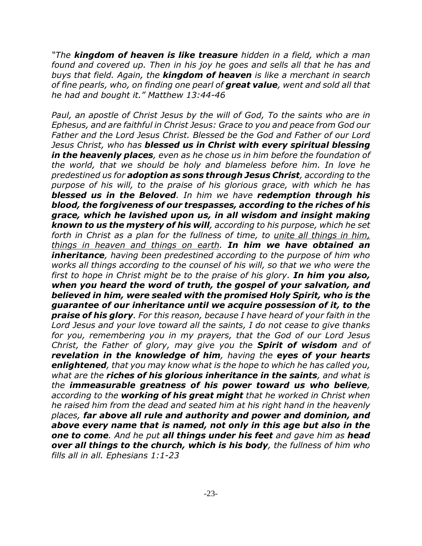*"The kingdom of heaven is like treasure hidden in a field, which a man found and covered up. Then in his joy he goes and sells all that he has and buys that field. Again, the kingdom of heaven is like a merchant in search of fine pearls, who, on finding one pearl of great value, went and sold all that he had and bought it." Matthew 13:44-46*

*Paul, an apostle of Christ Jesus by the will of God, To the saints who are in Ephesus, and are faithful in Christ Jesus: Grace to you and peace from God our Father and the Lord Jesus Christ. Blessed be the God and Father of our Lord Jesus Christ, who has blessed us in Christ with every spiritual blessing in the heavenly places, even as he chose us in him before the foundation of the world, that we should be holy and blameless before him. In love he predestined us for adoption as sons through Jesus Christ, according to the purpose of his will, to the praise of his glorious grace, with which he has blessed us in the Beloved. In him we have redemption through his blood, the forgiveness of our trespasses, according to the riches of his grace, which he lavished upon us, in all wisdom and insight making known to us the mystery of his will, according to his purpose, which he set forth in Christ as a plan for the fullness of time, to unite all things in him, things in heaven and things on earth. In him we have obtained an inheritance, having been predestined according to the purpose of him who works all things according to the counsel of his will, so that we who were the first to hope in Christ might be to the praise of his glory. In him you also, when you heard the word of truth, the gospel of your salvation, and believed in him, were sealed with the promised Holy Spirit, who is the guarantee of our inheritance until we acquire possession of it, to the praise of his glory. For this reason, because I have heard of your faith in the Lord Jesus and your love toward all the saints, I do not cease to give thanks for you, remembering you in my prayers, that the God of our Lord Jesus Christ, the Father of glory, may give you the Spirit of wisdom and of revelation in the knowledge of him, having the eyes of your hearts enlightened, that you may know what is the hope to which he has called you, what are the riches of his glorious inheritance in the saints, and what is the immeasurable greatness of his power toward us who believe, according to the working of his great might that he worked in Christ when he raised him from the dead and seated him at his right hand in the heavenly places, far above all rule and authority and power and dominion, and above every name that is named, not only in this age but also in the one to come. And he put all things under his feet and gave him as head over all things to the church, which is his body, the fullness of him who fills all in all. Ephesians 1:1-23*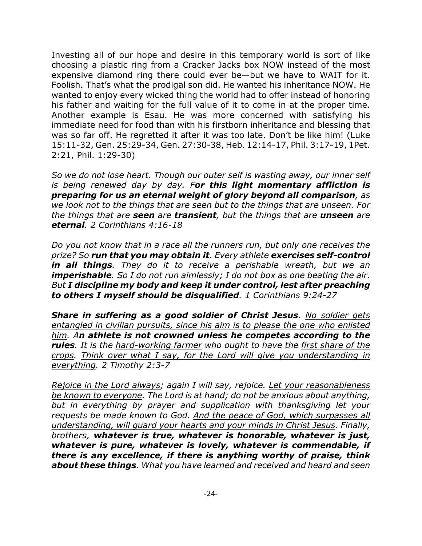Investing all of our hope and desire in this temporary world is sort of like choosing a plastic ring from a Cracker Jacks box NOW instead of the most expensive diamond ring there could ever be—but we have to WAIT for it. Foolish. That's what the prodigal son did. He wanted his inheritance NOW. He wanted to enjoy every wicked thing the world had to offer instead of honoring his father and waiting for the full value of it to come in at the proper time. Another example is Esau. He was more concerned with satisfying his immediate need for food than with his firstborn inheritance and blessing that was so far off. He regretted it after it was too late. Don't be like him! (Luke 15:11-32, Gen. 25:29-34, Gen. 27:30-38, Heb. 12:14-17, Phil. 3:17-19, 1Pet. 2:21, Phil. 1:29-30)

*So we do not lose heart. Though our outer self is wasting away, our inner self is being renewed day by day. For this light momentary affliction is preparing for us an eternal weight of glory beyond all comparison, as we look not to the things that are seen but to the things that are unseen. For the things that are seen are transient, but the things that are unseen are eternal. 2 Corinthians 4:16-18*

*Do you not know that in a race all the runners run, but only one receives the prize? So run that you may obtain it. Every athlete exercises self-control in all things. They do it to receive a perishable wreath, but we an imperishable. So I do not run aimlessly; I do not box as one beating the air. But I discipline my body and keep it under control, lest after preaching to others I myself should be disqualified. 1 Corinthians 9:24-27*

*Share in suffering as a good soldier of Christ Jesus. No soldier gets entangled in civilian pursuits, since his aim is to please the one who enlisted him. An athlete is not crowned unless he competes according to the rules. It is the hard-working farmer who ought to have the first share of the crops. Think over what I say, for the Lord will give you understanding in everything. 2 Timothy 2:3-7*

*Rejoice in the Lord always; again I will say, rejoice. Let your reasonableness be known to everyone. The Lord is at hand; do not be anxious about anything, but in everything by prayer and supplication with thanksgiving let your requests be made known to God. And the peace of God, which surpasses all understanding, will guard your hearts and your minds in Christ Jesus. Finally, brothers, whatever is true, whatever is honorable, whatever is just, whatever is pure, whatever is lovely, whatever is commendable, if there is any excellence, if there is anything worthy of praise, think about these things. What you have learned and received and heard and seen*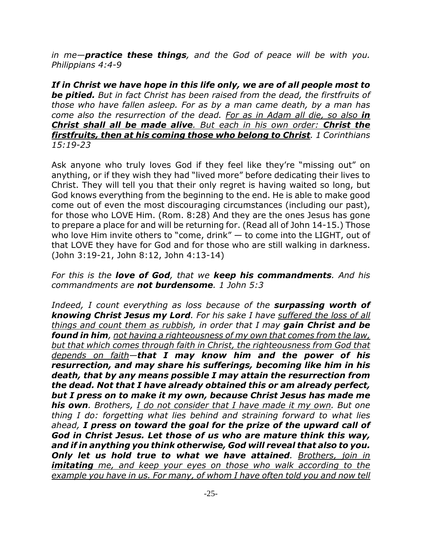*in me—practice these things, and the God of peace will be with you. Philippians 4:4-9*

*If in Christ we have hope in this life only, we are of all people most to be pitied. But in fact Christ has been raised from the dead, the firstfruits of those who have fallen asleep. For as by a man came death, by a man has come also the resurrection of the dead. For as in Adam all die, so also in Christ shall all be made alive. But each in his own order: Christ the firstfruits, then at his coming those who belong to Christ. 1 Corinthians 15:19-23*

Ask anyone who truly loves God if they feel like they're "missing out" on anything, or if they wish they had "lived more" before dedicating their lives to Christ. They will tell you that their only regret is having waited so long, but God knows everything from the beginning to the end. He is able to make good come out of even the most discouraging circumstances (including our past), for those who LOVE Him. (Rom. 8:28) And they are the ones Jesus has gone to prepare a place for and will be returning for. (Read all of John 14-15.) Those who love Him invite others to "come, drink" — to come into the LIGHT, out of that LOVE they have for God and for those who are still walking in darkness. (John 3:19-21, John 8:12, John 4:13-14)

*For this is the love of God, that we keep his commandments. And his commandments are not burdensome. 1 John 5:3*

*Indeed, I count everything as loss because of the surpassing worth of knowing Christ Jesus my Lord. For his sake I have suffered the loss of all things and count them as rubbish, in order that I may gain Christ and be found in him, not having a righteousness of my own that comes from the law, but that which comes through faith in Christ, the righteousness from God that depends on faith—that I may know him and the power of his resurrection, and may share his sufferings, becoming like him in his death, that by any means possible I may attain the resurrection from the dead. Not that I have already obtained this or am already perfect, but I press on to make it my own, because Christ Jesus has made me his own. Brothers, I do not consider that I have made it my own. But one thing I do: forgetting what lies behind and straining forward to what lies ahead, I press on toward the goal for the prize of the upward call of God in Christ Jesus. Let those of us who are mature think this way, and if in anything you think otherwise, God will reveal that also to you. Only let us hold true to what we have attained. Brothers, join in imitating me, and keep your eyes on those who walk according to the example you have in us. For many, of whom I have often told you and now tell*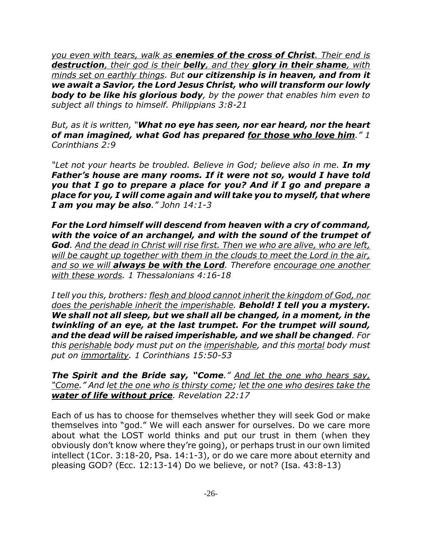*you even with tears, walk as enemies of the cross of Christ. Their end is destruction, their god is their belly, and they glory in their shame, with minds set on earthly things. But our citizenship is in heaven, and from it we await a Savior, the Lord Jesus Christ, who will transform our lowly body to be like his glorious body, by the power that enables him even to subject all things to himself. Philippians 3:8-21*

*But, as it is written, "What no eye has seen, nor ear heard, nor the heart of man imagined, what God has prepared for those who love him." 1 Corinthians 2:9*

*"Let not your hearts be troubled. Believe in God; believe also in me. In my Father's house are many rooms. If it were not so, would I have told you that I go to prepare a place for you? And if I go and prepare a place for you, I will come again and will take you to myself, that where I am you may be also." John 14:1-3*

*For the Lord himself will descend from heaven with a cry of command, with the voice of an archangel, and with the sound of the trumpet of God. And the dead in Christ will rise first. Then we who are alive, who are left, will be caught up together with them in the clouds to meet the Lord in the air, and so we will always be with the Lord. Therefore encourage one another with these words. 1 Thessalonians 4:16-18*

*I tell you this, brothers: flesh and blood cannot inherit the kingdom of God, nor does the perishable inherit the imperishable. Behold! I tell you a mystery. We shall not all sleep, but we shall all be changed, in a moment, in the twinkling of an eye, at the last trumpet. For the trumpet will sound, and the dead will be raised imperishable, and we shall be changed. For this perishable body must put on the imperishable, and this mortal body must put on immortality. 1 Corinthians 15:50-53*

*The Spirit and the Bride say, "Come." And let the one who hears say, "Come." And let the one who is thirsty come; let the one who desires take the water of life without price. Revelation 22:17*

Each of us has to choose for themselves whether they will seek God or make themselves into "god." We will each answer for ourselves. Do we care more about what the LOST world thinks and put our trust in them (when they obviously don't know where they're going), or perhaps trust in our own limited intellect (1Cor. 3:18-20, Psa. 14:1-3), or do we care more about eternity and pleasing GOD? (Ecc. 12:13-14) Do we believe, or not? (Isa. 43:8-13)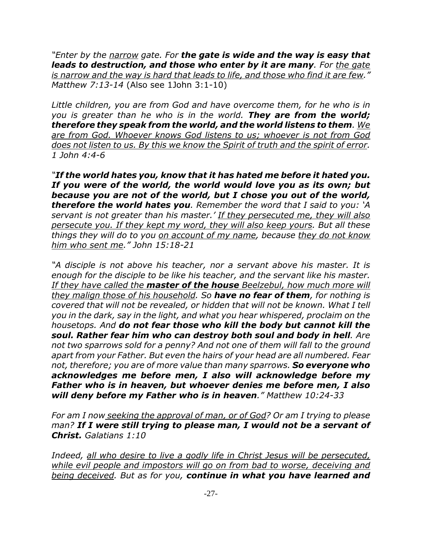*"Enter by the narrow gate. For the gate is wide and the way is easy that leads to destruction, and those who enter by it are many. For the gate is narrow and the way is hard that leads to life, and those who find it are few." Matthew 7:13-14* (Also see 1John 3:1-10)

*Little children, you are from God and have overcome them, for he who is in you is greater than he who is in the world. They are from the world; therefore they speak from the world, and the world listens to them. We are from God. Whoever knows God listens to us; whoever is not from God does not listen to us. By this we know the Spirit of truth and the spirit of error. 1 John 4:4-6*

*"If the world hates you, know that it has hated me before it hated you. If you were of the world, the world would love you as its own; but because you are not of the world, but I chose you out of the world, therefore the world hates you. Remember the word that I said to you: 'A servant is not greater than his master.' If they persecuted me, they will also persecute you. If they kept my word, they will also keep yours. But all these things they will do to you on account of my name, because they do not know him who sent me." John 15:18-21*

*"A disciple is not above his teacher, nor a servant above his master. It is enough for the disciple to be like his teacher, and the servant like his master. If they have called the master of the house Beelzebul, how much more will they malign those of his household. So have no fear of them, for nothing is covered that will not be revealed, or hidden that will not be known. What I tell you in the dark, say in the light, and what you hear whispered, proclaim on the housetops. And do not fear those who kill the body but cannot kill the soul. Rather fear him who can destroy both soul and body in hell. Are not two sparrows sold for a penny? And not one of them will fall to the ground apart from your Father. But even the hairs of your head are all numbered. Fear not, therefore; you are of more value than many sparrows. So everyone who acknowledges me before men, I also will acknowledge before my Father who is in heaven, but whoever denies me before men, I also will deny before my Father who is in heaven." Matthew 10:24-33*

*For am I now seeking the approval of man, or of God? Or am I trying to please man? If I were still trying to please man, I would not be a servant of Christ. Galatians 1:10*

*Indeed, all who desire to live a godly life in Christ Jesus will be persecuted, while evil people and impostors will go on from bad to worse, deceiving and being deceived. But as for you, continue in what you have learned and*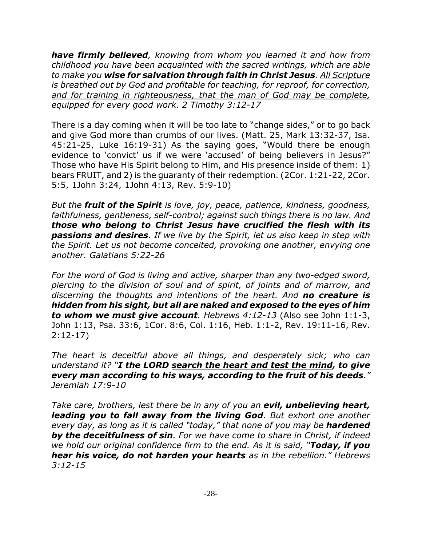*have firmly believed, knowing from whom you learned it and how from childhood you have been acquainted with the sacred writings, which are able to make you wise for salvation through faith in Christ Jesus. All Scripture is breathed out by God and profitable for teaching, for reproof, for correction, and for training in righteousness, that the man of God may be complete, equipped for every good work. 2 Timothy 3:12-17*

There is a day coming when it will be too late to "change sides," or to go back and give God more than crumbs of our lives. (Matt. 25, Mark 13:32-37, Isa. 45:21-25, Luke 16:19-31) As the saying goes, "Would there be enough evidence to 'convict' us if we were 'accused' of being believers in Jesus?" Those who have His Spirit belong to Him, and His presence inside of them: 1) bears FRUIT, and 2) is the guaranty of their redemption. (2Cor. 1:21-22, 2Cor. 5:5, 1John 3:24, 1John 4:13, Rev. 5:9-10)

*But the fruit of the Spirit is love, joy, peace, patience, kindness, goodness, faithfulness, gentleness, self-control; against such things there is no law. And those who belong to Christ Jesus have crucified the flesh with its passions and desires. If we live by the Spirit, let us also keep in step with the Spirit. Let us not become conceited, provoking one another, envying one another. Galatians 5:22-26*

*For the word of God is living and active, sharper than any two-edged sword, piercing to the division of soul and of spirit, of joints and of marrow, and discerning the thoughts and intentions of the heart. And no creature is hidden from his sight, but all are naked and exposed to the eyes of him to whom we must give account. Hebrews 4:12-13* (Also see John 1:1-3, John 1:13, Psa. 33:6, 1Cor. 8:6, Col. 1:16, Heb. 1:1-2, Rev. 19:11-16, Rev. 2:12-17)

*The heart is deceitful above all things, and desperately sick; who can understand it? "I the LORD search the heart and test the mind, to give every man according to his ways, according to the fruit of his deeds." Jeremiah 17:9-10*

*Take care, brothers, lest there be in any of you an evil, unbelieving heart, leading you to fall away from the living God. But exhort one another every day, as long as it is called "today," that none of you may be hardened by the deceitfulness of sin. For we have come to share in Christ, if indeed we hold our original confidence firm to the end. As it is said, "Today, if you hear his voice, do not harden your hearts as in the rebellion." Hebrews 3:12-15*